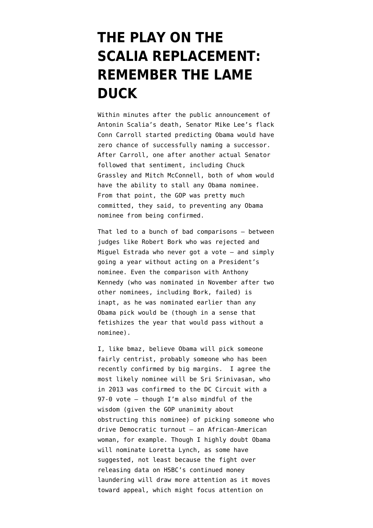## **[THE PLAY ON THE](https://www.emptywheel.net/2016/02/15/the-play-on-the-scalia-replacement-remember-the-lame-duck/) [SCALIA REPLACEMENT:](https://www.emptywheel.net/2016/02/15/the-play-on-the-scalia-replacement-remember-the-lame-duck/) [REMEMBER THE LAME](https://www.emptywheel.net/2016/02/15/the-play-on-the-scalia-replacement-remember-the-lame-duck/) [DUCK](https://www.emptywheel.net/2016/02/15/the-play-on-the-scalia-replacement-remember-the-lame-duck/)**

Within minutes after the public announcement of Antonin Scalia's death, Senator Mike Lee's flack Conn Carroll [started](https://twitter.com/conncarroll/status/698626902160838656?lang=en) predicting Obama would have zero chance of successfully naming a successor. After Carroll, one after another actual Senator followed that sentiment, including [Chuck](http://www.grassley.senate.gov/news/news-releases/grassley-statement-justice-scalia) [Grassley](http://www.grassley.senate.gov/news/news-releases/grassley-statement-justice-scalia) and [Mitch McConnell](http://www.nytimes.com/2016/02/15/us/politics/mitch-mcconnells-stance-in-confirmation-fight-could-help-and-hurt-gop.html?_r=0), both of whom would have the ability to stall any Obama nominee. From that point, the GOP was pretty much committed, they said, to preventing any Obama nominee from being confirmed.

That led to a bunch of bad comparisons — between judges like Robert Bork who was rejected and Miguel Estrada who never got a vote — and simply going a year without acting on a President's nominee. Even the comparison with Anthony Kennedy (who was nominated in November after two other nominees, including Bork, failed) is inapt, as he was nominated earlier than any Obama pick would be (though in a sense that fetishizes the year that would pass without a nominee).

I, [like bmaz](https://www.emptywheel.net/2016/02/13/el-nino-scalia/), believe Obama will pick someone fairly centrist, probably someone who has been recently confirmed by big margins. I agree the most likely nominee will be Sri Srinivasan, who in 2013 was confirmed to the DC Circuit with a 97-0 vote — though I'm also mindful of the wisdom (given the GOP unanimity about obstructing this nominee) of picking someone who drive Democratic turnout — an African-American woman, for example. Though I highly doubt Obama will nominate Loretta Lynch, as some have suggested, not least because [the fight](http://www.reuters.com/article/us-hsbc-moneylaundering-idUSKCN0VI28H) over releasing data on HSBC's continued money laundering will draw more attention as it moves toward appeal, which might focus attention on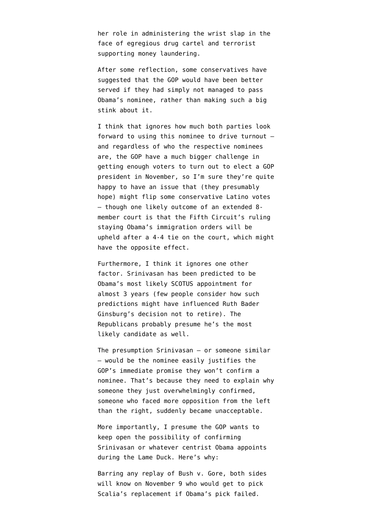her role in administering the wrist slap in the face of egregious drug cartel and terrorist supporting money laundering.

After some reflection, some conservatives [have](https://twitter.com/ByronYork/status/699215199421775875) [suggested](https://twitter.com/ByronYork/status/699215199421775875) that the GOP would have been better served if they had simply not managed to pass Obama's nominee, rather than making such a big stink about it.

I think that ignores how much both parties look forward to using this nominee to drive turnout and regardless of who the respective nominees are, the GOP have a much bigger challenge in getting enough voters to turn out to elect a GOP president in November, so I'm sure they're quite happy to have an issue that (they presumably hope) might flip some conservative Latino votes — though one likely outcome of an extended 8 member court is that the Fifth Circuit's ruling [staying](http://www.theatlantic.com/politics/archive/2015/11/fifth-circuit-obama-immigration/415077/) Obama's immigration orders will be upheld after a 4-4 tie on the court, which might have the opposite effect.

Furthermore, I think it ignores one other factor. Srinivasan has been [predicted](http://www.newyorker.com/news/daily-comment/the-supreme-court-nominee-in-waiting) to be Obama's most likely SCOTUS appointment for almost 3 years (few people consider how such predictions might have influenced Ruth Bader Ginsburg's decision not to retire). The Republicans probably presume he's the most likely candidate as well.

The presumption Srinivasan — or someone similar — would be the nominee easily justifies the GOP's immediate promise they won't confirm a nominee. That's because they need to explain why someone they just overwhelmingly confirmed, someone who faced more opposition from the left than the right, suddenly became unacceptable.

More importantly, I presume the GOP wants to keep open the possibility of confirming Srinivasan or whatever centrist Obama appoints during the Lame Duck. Here's why:

Barring any replay of Bush v. Gore, both sides will know on November 9 who would get to pick Scalia's replacement if Obama's pick failed.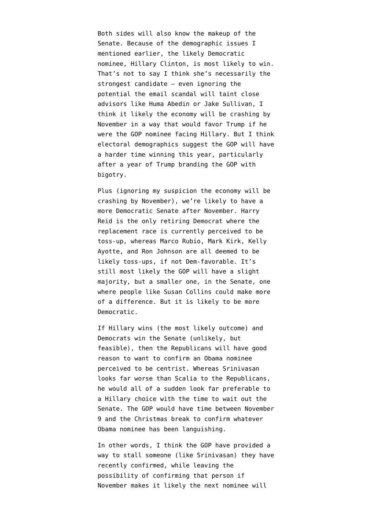Both sides will also know the makeup of the Senate. Because of the demographic issues I mentioned earlier, the likely Democratic nominee, Hillary Clinton, is most likely to win. That's not to say I think she's necessarily the strongest candidate — even ignoring the potential the email scandal will taint close advisors like Huma Abedin or Jake Sullivan, I think it likely the economy will be crashing by November in a way that would favor Trump if he were the GOP nominee facing Hillary. But I think electoral demographics suggest the GOP will have a harder time winning this year, particularly after a year of Trump branding the GOP with bigotry.

Plus (ignoring my suspicion the economy will be crashing by November), we're likely to have a more Democratic Senate after November. Harry Reid is the only retiring Democrat where the replacement race is currently perceived to be toss-up, whereas Marco Rubio, Mark Kirk, Kelly Ayotte, and Ron Johnson are all deemed to be likely toss-ups, if not Dem-favorable. It's still most likely the GOP will have a slight majority, but a smaller one, in the Senate, one where people like Susan Collins could make more of a difference. But it is likely to be more Democratic.

If Hillary wins (the most likely outcome) and Democrats win the Senate (unlikely, but feasible), then the Republicans will have good reason to want to confirm an Obama nominee perceived to be centrist. Whereas Srinivasan looks far worse than Scalia to the Republicans, he would all of a sudden look far preferable to a Hillary choice with the time to wait out the Senate. The GOP would have time between November 9 and the Christmas break to confirm whatever Obama nominee has been languishing.

In other words, I think the GOP have provided a way to stall someone (like Srinivasan) they have recently confirmed, while leaving the possibility of confirming that person if November makes it likely the next nominee will